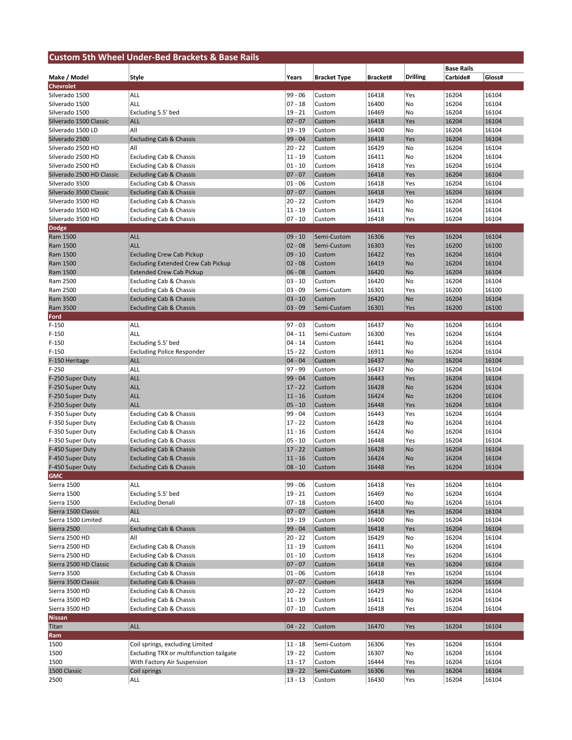| <b>Custom 5th Wheel Under-Bed Brackets &amp; Base Rails</b> |                                           |                        |                     |                |                  |                   |                |
|-------------------------------------------------------------|-------------------------------------------|------------------------|---------------------|----------------|------------------|-------------------|----------------|
|                                                             |                                           |                        |                     |                |                  | <b>Base Rails</b> |                |
| Make / Model                                                | Style                                     | Years                  | <b>Bracket Type</b> | Bracket#       | <b>Drilling</b>  | Carbide#          | Gloss#         |
| Chevrolet                                                   |                                           |                        |                     |                |                  |                   |                |
| Silverado 1500                                              | ALL                                       | $99 - 06$              | Custom              | 16418          | Yes              | 16204             | 16104          |
| Silverado 1500<br>Silverado 1500                            | ALL                                       | $07 - 18$<br>$19 - 21$ | Custom<br>Custom    | 16400<br>16469 | No<br>No         | 16204<br>16204    | 16104<br>16104 |
| Silverado 1500 Classic                                      | Excluding 5.5' bed<br><b>ALL</b>          | $07 - 07$              | Custom              | 16418          | Yes              | 16204             | 16104          |
| Silverado 1500 LD                                           | All                                       | 19 - 19                | Custom              | 16400          | No               | 16204             | 16104          |
| Silverado 2500                                              | <b>Excluding Cab &amp; Chassis</b>        | $99 - 04$              | Custom              | 16418          | Yes              | 16204             | 16104          |
| Silverado 2500 HD                                           | All                                       | $20 - 22$              | Custom              | 16429          | No               | 16204             | 16104          |
| Silverado 2500 HD                                           | <b>Excluding Cab &amp; Chassis</b>        | $11 - 19$              | Custom              | 16411          | No               | 16204             | 16104          |
| Silverado 2500 HD                                           | <b>Excluding Cab &amp; Chassis</b>        | $01 - 10$              | Custom              | 16418          | Yes              | 16204             | 16104          |
| Silverado 2500 HD Classic                                   | <b>Excluding Cab &amp; Chassis</b>        | $07 - 07$              | Custom              | 16418          | Yes              | 16204             | 16104          |
| Silverado 3500                                              | <b>Excluding Cab &amp; Chassis</b>        | $01 - 06$              | Custom              | 16418          | Yes              | 16204             | 16104          |
| Silverado 3500 Classic                                      | <b>Excluding Cab &amp; Chassis</b>        | $07 - 07$              | Custom              | 16418          | Yes              | 16204             | 16104          |
| Silverado 3500 HD                                           | <b>Excluding Cab &amp; Chassis</b>        | $20 - 22$              | Custom              | 16429          | No               | 16204             | 16104          |
| Silverado 3500 HD                                           | <b>Excluding Cab &amp; Chassis</b>        | $11 - 19$              | Custom              | 16411          | No               | 16204             | 16104          |
| Silverado 3500 HD                                           | <b>Excluding Cab &amp; Chassis</b>        | $07 - 10$              | Custom              | 16418          | Yes              | 16204             | 16104          |
| <b>Dodge</b>                                                |                                           |                        |                     |                |                  |                   |                |
| Ram 1500                                                    | <b>ALL</b>                                | $09 - 10$              | Semi-Custom         | 16306          | Yes              | 16204             | 16104          |
| Ram 1500                                                    | <b>ALL</b>                                | $02 - 08$              | Semi-Custom         | 16303          | Yes              | 16200             | 16100          |
| Ram 1500                                                    | <b>Excluding Crew Cab Pickup</b>          | $09 - 10$              | Custom              | 16422          | Yes              | 16204             | 16104          |
| Ram 1500                                                    | <b>Excluding Extended Crew Cab Pickup</b> | $02 - 08$              | Custom              | 16419          | No               | 16204             | 16104          |
| Ram 1500                                                    | <b>Extended Crew Cab Pickup</b>           | $06 - 08$              | Custom              | 16420          | No               | 16204             | 16104          |
| Ram 2500                                                    | Excluding Cab & Chassis                   | $03 - 10$              | Custom              | 16420          | No               | 16204             | 16104          |
| Ram 2500                                                    | <b>Excluding Cab &amp; Chassis</b>        | $03 - 09$              | Semi-Custom         | 16301          | Yes              | 16200             | 16100          |
| Ram 3500                                                    | <b>Excluding Cab &amp; Chassis</b>        | $03 - 10$              | Custom              | 16420          | No               | 16204             | 16104          |
| Ram 3500                                                    | <b>Excluding Cab &amp; Chassis</b>        | $03 - 09$              | Semi-Custom         | 16301          | Yes              | 16200             | 16100          |
| Ford                                                        |                                           |                        |                     |                |                  |                   |                |
| $F-150$                                                     | ALL                                       | $97 - 03$              | Custom              | 16437          | No               | 16204             | 16104          |
| $F-150$                                                     | ALL                                       | $04 - 11$              | Semi-Custom         | 16300          | Yes              | 16204             | 16104          |
| $F-150$                                                     | Excluding 5.5' bed                        | $04 - 14$              | Custom              | 16441          | No               | 16204             | 16104          |
| $F-150$                                                     | <b>Excluding Police Responder</b>         | $15 - 22$              | Custom              | 16911          | No               | 16204             | 16104          |
| F-150 Heritage                                              | <b>ALL</b>                                | $04 - 04$              | Custom              | 16437          | No               | 16204             | 16104          |
| $F-250$                                                     | ALL                                       | $97 - 99$              | Custom              | 16437          | No               | 16204             | 16104          |
| F-250 Super Duty                                            | <b>ALL</b>                                | $99 - 04$              | Custom              | 16443          | Yes              | 16204             | 16104          |
| F-250 Super Duty                                            | <b>ALL</b>                                | $17 - 22$              | Custom              | 16428          | No               | 16204             | 16104          |
| F-250 Super Duty                                            | <b>ALL</b>                                | $11 - 16$              | Custom              | 16424          | No               | 16204             | 16104          |
| F-250 Super Duty                                            | <b>ALL</b>                                | $05 - 10$              | Custom              | 16448          | Yes              | 16204             | 16104          |
| F-350 Super Duty                                            | <b>Excluding Cab &amp; Chassis</b>        | 99 - 04                | Custom              | 16443          | Yes              | 16204             | 16104          |
| F-350 Super Duty                                            | <b>Excluding Cab &amp; Chassis</b>        | $17 - 22$              | Custom              | 16428          | No               | 16204             | 16104          |
| F-350 Super Duty                                            | <b>Excluding Cab &amp; Chassis</b>        | $11 - 16$              | Custom              | 16424          | No               | 16204             | 16104          |
| F-350 Super Duty                                            | <b>Excluding Cab &amp; Chassis</b>        | $05 - 10$              | Custom              | 16448          | Yes              | 16204             | 16104          |
| F-450 Super Duty                                            | <b>Excluding Cab &amp; Chassis</b>        | $17 - 22$              | Custom              | 16428<br>16424 | <b>No</b>        | 16204             | 16104<br>16104 |
| F-450 Super Duty                                            | <b>Excluding Cab &amp; Chassis</b>        | $11 - 16$<br>$08 - 10$ | Custom<br>Custom    | 16448          | <b>No</b><br>Yes | 16204<br>16204    | 16104          |
| F-450 Super Duty<br><b>GMC</b>                              | <b>Excluding Cab &amp; Chassis</b>        |                        |                     |                |                  |                   |                |
| Sierra 1500                                                 | ALL                                       | $99 - 06$              | Custom              | 16418          | Yes              | 16204             | 16104          |
| Sierra 1500                                                 | Excluding 5.5' bed                        | $19 - 21$              | Custom              | 16469          | No               | 16204             | 16104          |
| Sierra 1500                                                 | <b>Excluding Denali</b>                   | $07 - 18$              | Custom              | 16400          | No               | 16204             | 16104          |
| Sierra 1500 Classic                                         | <b>ALL</b>                                | $07 - 07$              | Custom              | 16418          | Yes              | 16204             | 16104          |
| Sierra 1500 Limited                                         | ALL                                       | $19 - 19$              | Custom              | 16400          | No               | 16204             | 16104          |
| Sierra 2500                                                 | <b>Excluding Cab &amp; Chassis</b>        | $99 - 04$              | Custom              | 16418          | Yes              | 16204             | 16104          |
| Sierra 2500 HD                                              | All                                       | $20 - 22$              | Custom              | 16429          | No               | 16204             | 16104          |
| Sierra 2500 HD                                              | <b>Excluding Cab &amp; Chassis</b>        | $11 - 19$              | Custom              | 16411          | No               | 16204             | 16104          |
| Sierra 2500 HD                                              | <b>Excluding Cab &amp; Chassis</b>        | $01 - 10$              | Custom              | 16418          | Yes              | 16204             | 16104          |
| Sierra 2500 HD Classic                                      | <b>Excluding Cab &amp; Chassis</b>        | $07 - 07$              | Custom              | 16418          | Yes              | 16204             | 16104          |
| Sierra 3500                                                 | <b>Excluding Cab &amp; Chassis</b>        | $01 - 06$              | Custom              | 16418          | Yes              | 16204             | 16104          |
| Sierra 3500 Classic                                         | <b>Excluding Cab &amp; Chassis</b>        | $07 - 07$              | Custom              | 16418          | Yes              | 16204             | 16104          |
| Sierra 3500 HD                                              | <b>Excluding Cab &amp; Chassis</b>        | $20 - 22$              | Custom              | 16429          | No               | 16204             | 16104          |
| Sierra 3500 HD                                              | <b>Excluding Cab &amp; Chassis</b>        | $11 - 19$              | Custom              | 16411          | No               | 16204             | 16104          |
| Sierra 3500 HD                                              | <b>Excluding Cab &amp; Chassis</b>        | $07 - 10$              | Custom              | 16418          | Yes              | 16204             | 16104          |
| <b>Nissan</b>                                               |                                           |                        |                     |                |                  |                   |                |
| Titan                                                       | <b>ALL</b>                                | $04 - 22$              | Custom              | 16470          | Yes              | 16204             | 16104          |
| Ram                                                         |                                           |                        |                     |                |                  |                   |                |
| 1500                                                        | Coil springs, excluding Limited           | $11 - 18$              | Semi-Custom         | 16306          | Yes              | 16204             | 16104          |
| 1500                                                        | Excluding TRX or multifunction tailgate   | $19 - 22$              | Custom              | 16307          | No               | 16204             | 16104          |
| 1500                                                        | With Factory Air Suspension               | $13 - 17$              | Custom              | 16444          | Yes              | 16204             | 16104          |
| 1500 Classic                                                | Coil springs                              | $19 - 22$              | Semi-Custom         | 16306          | Yes              | 16204             | 16104          |
| 2500                                                        | <b>ALL</b>                                | $13 - 13$              | Custom              | 16430          | Yes              | 16204             | 16104          |